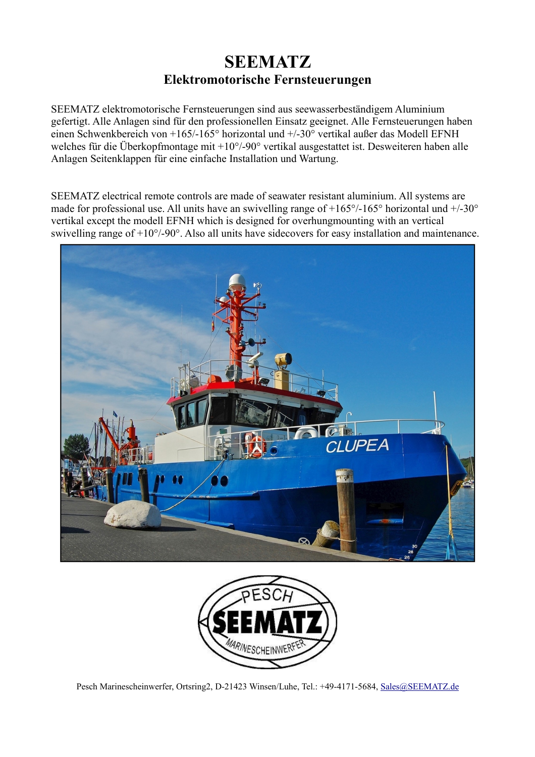## **SEEMATZ Elektromotorische Fernsteuerungen**

SEEMATZ elektromotorische Fernsteuerungen sind aus seewasserbeständigem Aluminium gefertigt. Alle Anlagen sind für den professionellen Einsatz geeignet. Alle Fernsteuerungen haben einen Schwenkbereich von +165/-165° horizontal und +/-30° vertikal außer das Modell EFNH welches für die Überkopfmontage mit +10°/-90° vertikal ausgestattet ist. Desweiteren haben alle Anlagen Seitenklappen für eine einfache Installation und Wartung.

SEEMATZ electrical remote controls are made of seawater resistant aluminium. All systems are made for professional use. All units have an swivelling range of  $+165^{\circ}/-165^{\circ}$  horizontal und  $+/-30^{\circ}$ vertikal except the modell EFNH which is designed for overhungmounting with an vertical swivelling range of +10°/-90°. Also all units have sidecovers for easy installation and maintenance.





Pesch Marinescheinwerfer, Ortsring2, D-21423 Winsen/Luhe, Tel.: +49-4171-5684, [Sales@SEEMATZ. d](mailto:Sales@SEEMATZ.de)e